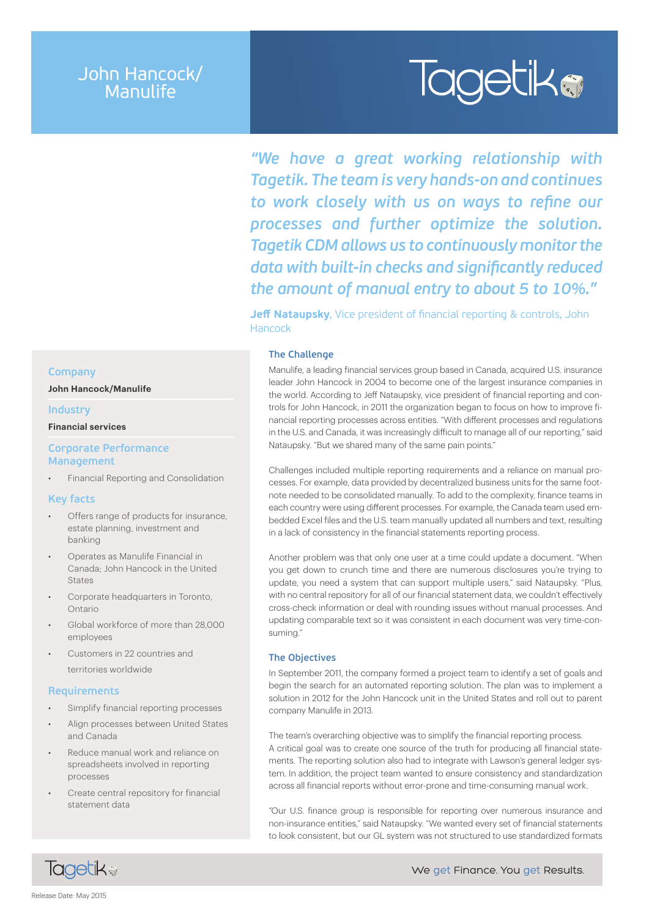# John Hancock/ Manulife

# **Tagetika**

*"We have a great working relationship with Tagetik. The team is very hands-on and continues to work closely with us on ways to refine our processes and further optimize the solution. Tagetik CDM allows us to continuously monitor the data with built-in checks and significantly reduced the amount of manual entry to about 5 to 10%."*

**Jeff Nataupsky**, Vice president of financial reporting & controls, John Hancock

# **The Challenge**

Manulife, a leading financial services group based in Canada, acquired U.S. insurance leader John Hancock in 2004 to become one of the largest insurance companies in the world. According to Jeff Nataupsky, vice president of financial reporting and controls for John Hancock, in 2011 the organization began to focus on how to improve financial reporting processes across entities. "With different processes and regulations in the U.S. and Canada, it was increasingly difficult to manage all of our reporting," said Nataupsky. "But we shared many of the same pain points."

Challenges included multiple reporting requirements and a reliance on manual processes. For example, data provided by decentralized business units for the same footnote needed to be consolidated manually. To add to the complexity, finance teams in each country were using different processes. For example, the Canada team used embedded Excel files and the U.S. team manually updated all numbers and text, resulting in a lack of consistency in the financial statements reporting process.

Another problem was that only one user at a time could update a document. "When you get down to crunch time and there are numerous disclosures you're trying to update, you need a system that can support multiple users," said Nataupsky. "Plus, with no central repository for all of our financial statement data, we couldn't effectively cross-check information or deal with rounding issues without manual processes. And updating comparable text so it was consistent in each document was very time-consuming."

### **The Objectives**

In September 2011, the company formed a project team to identify a set of goals and begin the search for an automated reporting solution. The plan was to implement a solution in 2012 for the John Hancock unit in the United States and roll out to parent company Manulife in 2013.

The team's overarching objective was to simplify the financial reporting process. A critical goal was to create one source of the truth for producing all financial statements. The reporting solution also had to integrate with Lawson's general ledger system. In addition, the project team wanted to ensure consistency and standardization across all financial reports without error-prone and time-consuming manual work.

"Our U.S. finance group is responsible for reporting over numerous insurance and non-insurance entities," said Nataupsky. "We wanted every set of financial statements to look consistent, but our GL system was not structured to use standardized formats

### **Company**

**John Hancock/Manulife**

#### **Industry**

**Financial services**

### **Corporate Performance Management**

• Financial Reporting and Consolidation

#### **Key facts**

- Offers range of products for insurance, estate planning, investment and banking
- Operates as Manulife Financial in Canada; John Hancock in the United **States**
- Corporate headquarters in Toronto, Ontario
- Global workforce of more than 28,000 employees
- Customers in 22 countries and territories worldwide

#### **Requirements**

- Simplify financial reporting processes
- Align processes between United States and Canada
- Reduce manual work and reliance on spreadsheets involved in reporting processes
- Create central repository for financial statement data

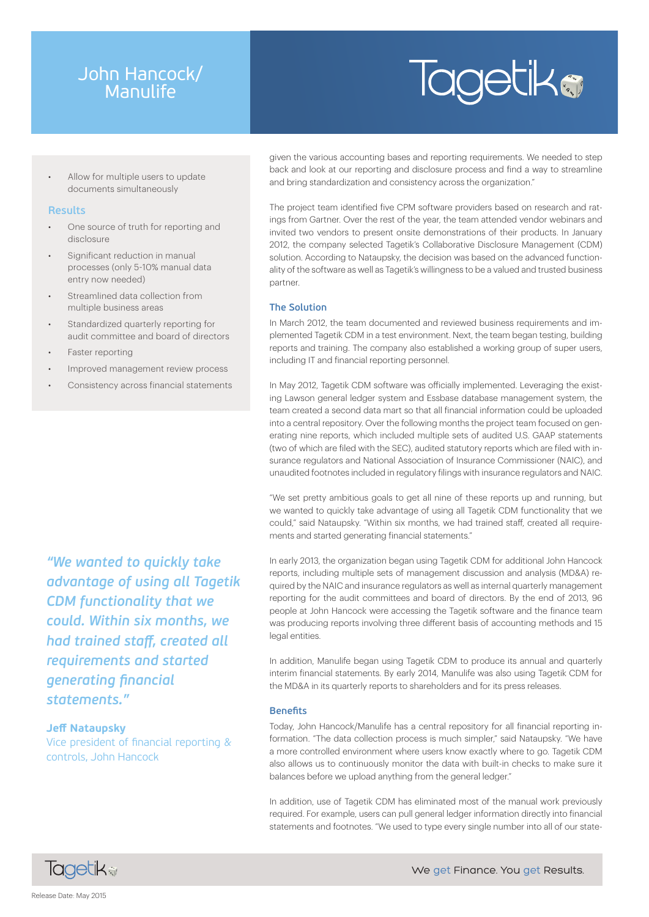# John Hancock/ Manulife

# **Tagetika**

Allow for multiple users to update documents simultaneously

### **Results**

- One source of truth for reporting and disclosure
- Significant reduction in manual processes (only 5-10% manual data entry now needed)
- Streamlined data collection from multiple business areas
- Standardized quarterly reporting for audit committee and board of directors
- Faster reporting
- Improved management review process
- Consistency across financial statements

*"We wanted to quickly take advantage of using all Tagetik CDM functionality that we could. Within six months, we had trained staff, created all requirements and started generating financial statements."*

## **Jeff Nataupsky**

Vice president of financial reporting & controls, John Hancock

given the various accounting bases and reporting requirements. We needed to step back and look at our reporting and disclosure process and find a way to streamline and bring standardization and consistency across the organization."

The project team identified five CPM software providers based on research and ratings from Gartner. Over the rest of the year, the team attended vendor webinars and invited two vendors to present onsite demonstrations of their products. In January 2012, the company selected Tagetik's Collaborative Disclosure Management (CDM) solution. According to Nataupsky, the decision was based on the advanced functionality of the software as well as Tagetik's willingness to be a valued and trusted business partner.

## **The Solution**

In March 2012, the team documented and reviewed business requirements and implemented Tagetik CDM in a test environment. Next, the team began testing, building reports and training. The company also established a working group of super users, including IT and financial reporting personnel.

In May 2012, Tagetik CDM software was officially implemented. Leveraging the existing Lawson general ledger system and Essbase database management system, the team created a second data mart so that all financial information could be uploaded into a central repository. Over the following months the project team focused on generating nine reports, which included multiple sets of audited U.S. GAAP statements (two of which are filed with the SEC), audited statutory reports which are filed with insurance regulators and National Association of Insurance Commissioner (NAIC), and unaudited footnotes included in regulatory filings with insurance regulators and NAIC.

"We set pretty ambitious goals to get all nine of these reports up and running, but we wanted to quickly take advantage of using all Tagetik CDM functionality that we could," said Nataupsky. "Within six months, we had trained staff, created all requirements and started generating financial statements."

In early 2013, the organization began using Tagetik CDM for additional John Hancock reports, including multiple sets of management discussion and analysis (MD&A) required by the NAIC and insurance regulators as well as internal quarterly management reporting for the audit committees and board of directors. By the end of 2013, 96 people at John Hancock were accessing the Tagetik software and the finance team was producing reports involving three different basis of accounting methods and 15 legal entities.

In addition, Manulife began using Tagetik CDM to produce its annual and quarterly interim financial statements. By early 2014, Manulife was also using Tagetik CDM for the MD&A in its quarterly reports to shareholders and for its press releases.

### **Benefits**

Today, John Hancock/Manulife has a central repository for all financial reporting information. "The data collection process is much simpler," said Nataupsky. "We have a more controlled environment where users know exactly where to go. Tagetik CDM also allows us to continuously monitor the data with built-in checks to make sure it balances before we upload anything from the general ledger."

In addition, use of Tagetik CDM has eliminated most of the manual work previously required. For example, users can pull general ledger information directly into financial statements and footnotes. "We used to type every single number into all of our state-